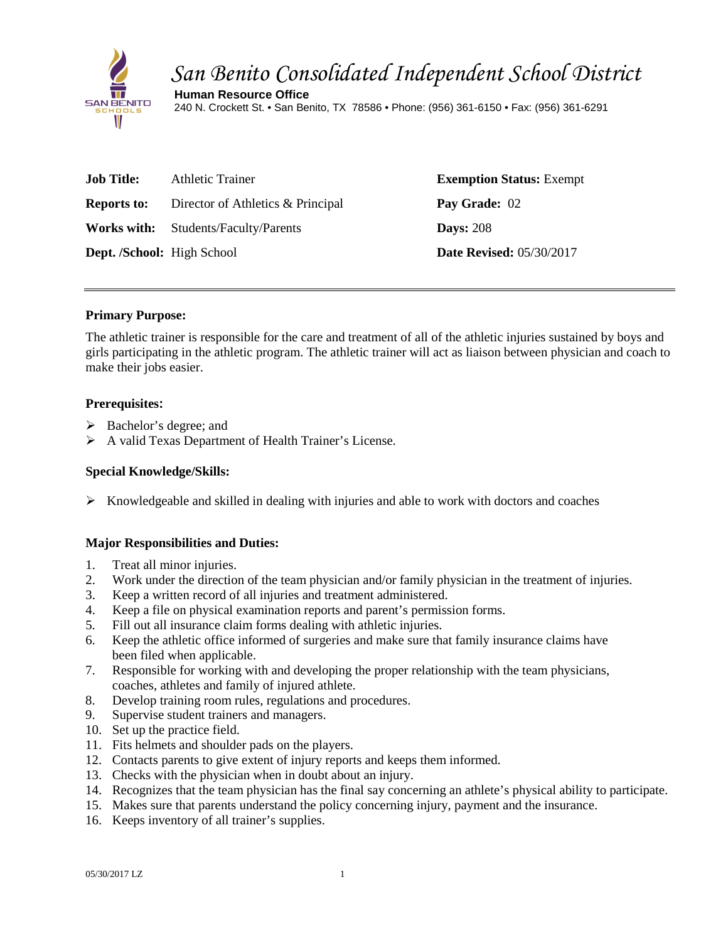

# *San Benito Consolidated Independent School District*

**Human Resource Office** 240 N. Crockett St. • San Benito, TX 78586 • Phone: (956) 361-6150 • Fax: (956) 361-6291

| <b>Job Title:</b>                 | Athletic Trainer                            | <b>Exemption Status: Exempt</b> |
|-----------------------------------|---------------------------------------------|---------------------------------|
| <b>Reports to:</b>                | Director of Athletics & Principal           | Pay Grade: 02                   |
|                                   | <b>Works with:</b> Students/Faculty/Parents | <b>Days: 208</b>                |
| <b>Dept. /School:</b> High School |                                             | <b>Date Revised:</b> 05/30/2017 |

### **Primary Purpose:**

The athletic trainer is responsible for the care and treatment of all of the athletic injuries sustained by boys and girls participating in the athletic program. The athletic trainer will act as liaison between physician and coach to make their jobs easier.

## **Prerequisites:**

- $\triangleright$  Bachelor's degree; and
- A valid Texas Department of Health Trainer's License.

## **Special Knowledge/Skills:**

 $\triangleright$  Knowledgeable and skilled in dealing with injuries and able to work with doctors and coaches

### **Major Responsibilities and Duties:**

- 1. Treat all minor injuries.
- 2. Work under the direction of the team physician and/or family physician in the treatment of injuries.
- 3. Keep a written record of all injuries and treatment administered.
- 4. Keep a file on physical examination reports and parent's permission forms.
- 5. Fill out all insurance claim forms dealing with athletic injuries.
- 6. Keep the athletic office informed of surgeries and make sure that family insurance claims have been filed when applicable.
- 7. Responsible for working with and developing the proper relationship with the team physicians, coaches, athletes and family of injured athlete.
- 8. Develop training room rules, regulations and procedures.
- 9. Supervise student trainers and managers.
- 10. Set up the practice field.
- 11. Fits helmets and shoulder pads on the players.
- 12. Contacts parents to give extent of injury reports and keeps them informed.
- 13. Checks with the physician when in doubt about an injury.
- 14. Recognizes that the team physician has the final say concerning an athlete's physical ability to participate.
- 15. Makes sure that parents understand the policy concerning injury, payment and the insurance.
- 16. Keeps inventory of all trainer's supplies.